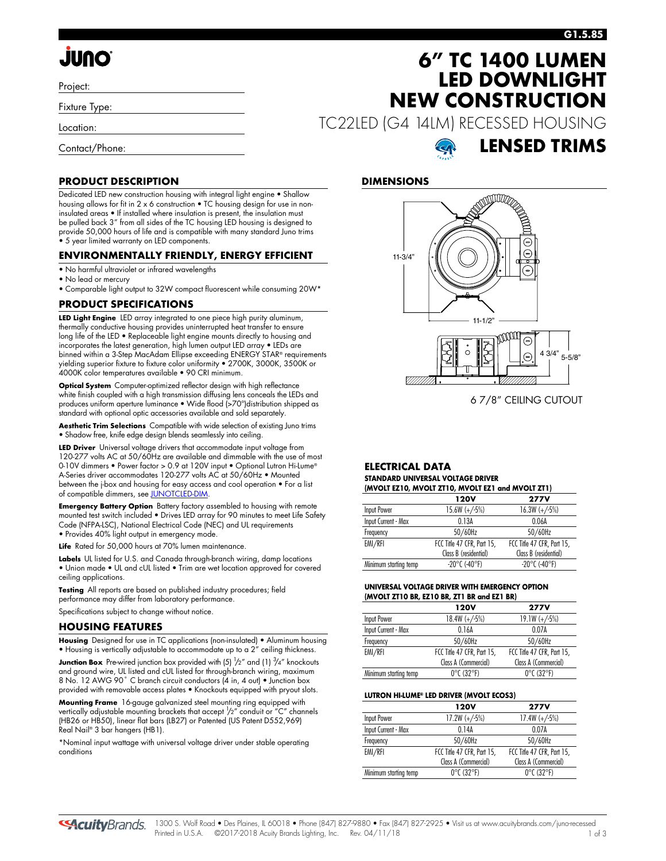# **JUNO**

Project:

Fixture Type:

Location:

Contact/Phone:

#### **G1.5.85**

## **6" TC 1400 LUMEN LED DOWNLIGHT NEW CONSTRUCTION**

**LENSED TRIMS**

TC22LED (G4 14LM) RECESSED HOUSING



6 7/8" CEILING CUTOUT

#### **ELECTRICAL DATA STANDARD UNIVERSAL VOLTAGE DRIVER (MVOLT EZ10, MVOLT ZT10, MVOLT EZ1 and MVOLT ZT1)**

|                       | 120V                       | <b>277V</b>                |  |  |  |  |
|-----------------------|----------------------------|----------------------------|--|--|--|--|
| Input Power           | $15.6W (+/-5%)$            | $16.3W (+/-5%)$            |  |  |  |  |
| Input Current - Max   | 0.13A                      | 0.06A                      |  |  |  |  |
| Frequency             | 50/60Hz                    | 50/60Hz                    |  |  |  |  |
| EMI/RFI               | FCC Title 47 CFR, Part 15, | FCC Title 47 CFR, Part 15, |  |  |  |  |
|                       | Class B (residential)      | Class B (residential)      |  |  |  |  |
| Minimum starting temp | $-20^{\circ}$ C (-40°F)    | $-20^{\circ}$ C (-40°F)    |  |  |  |  |
|                       |                            |                            |  |  |  |  |

#### **UNIVERSAL VOLTAGE DRIVER WITH EMERGENCY OPTION (MVOLT ZT10 BR, EZ10 BR, ZT1 BR and EZ1 BR)**

|                       | 120V                            | <b>277V</b>                     |
|-----------------------|---------------------------------|---------------------------------|
| Input Power           | $18.4W (+/-5%)$                 | $19.1W (+/-5%)$                 |
| Input Current - Max   | 0.16A                           | 0.07A                           |
| Frequency             | 50/60Hz                         | 50/60Hz                         |
| EMI/RFI               | FCC Title 47 CFR, Part 15,      | FCC Title 47 CFR, Part 15,      |
|                       | Class A (Commercial)            | Class A (Commercial)            |
| Minimum starting temp | $0^{\circ}$ C (32 $^{\circ}$ F) | $0^{\circ}$ C (32 $^{\circ}$ F) |

#### **LUTRON HI-LUME® LED DRIVER (MVOLT ECOS3)**

|                       | 120V                            | <b>277V</b>                     |
|-----------------------|---------------------------------|---------------------------------|
| <b>Input Power</b>    | $17.2W (+/-5%)$                 | $17.4W (+/-5%)$                 |
| Input Current - Max   | 0.14A                           | 0.07A                           |
| Frequency             | 50/60Hz                         | 50/60Hz                         |
| EMI/RFI               | FCC Title 47 CFR, Part 15,      | FCC Title 47 CFR, Part 15,      |
|                       | Class A (Commercial)            | Class A (Commercial)            |
| Minimum starting temp | $0^{\circ}$ C (32 $^{\circ}$ F) | $0^{\circ}$ C (32 $^{\circ}$ F) |

#### **PRODUCT DESCRIPTION**

Dedicated LED new construction housing with integral light engine • Shallow housing allows for fit in 2 x 6 construction • TC housing design for use in noninsulated areas • If installed where insulation is present, the insulation must be pulled back 3" from all sides of the TC housing LED housing is designed to provide 50,000 hours of life and is compatible with many standard Juno trims • 5 year limited warranty on LED components.

#### **ENVIRONMENTALLY FRIENDLY, ENERGY EFFICIENT**

- No harmful ultraviolet or infrared wavelengths
- No lead or mercury
- Comparable light output to 32W compact fluorescent while consuming 20W\*

#### **PRODUCT SPECIFICATIONS**

**LED Light Engine** LED array integrated to one piece high purity aluminum, thermally conductive housing provides uninterrupted heat transfer to ensure long life of the LED • Replaceable light engine mounts directly to housing and incorporates the latest generation, high lumen output LED array • LEDs are binned within a 3-Step MacAdam Ellipse exceeding ENERGY STAR® requirements yielding superior fixture to fixture color uniformity • 2700K, 3000K, 3500K or 4000K color temperatures available • 90 CRI minimum.

**Optical System** Computer-optimized reflector design with high reflectance white finish coupled with a high transmission diffusing lens conceals the LEDs and produces uniform aperture luminance • Wide flood (>70°)distribution shipped as standard with optional optic accessories available and sold separately.

**Aesthetic Trim Selections** Compatible with wide selection of existing Juno trims • Shadow free, knife edge design blends seamlessly into ceiling.

**LED Driver** Universal voltage drivers that accommodate input voltage from 120-277 volts AC at 50/60Hz are available and dimmable with the use of most 0-10V dimmers • Power factor > 0.9 at 120V input • Optional Lutron Hi-Lume® A-Series driver accommodates 120-277 volts AC at 50/60Hz • Mounted between the j-box and housing for easy access and cool operation • For a list of compatible dimmers, see [JUNOTCLED-DIM.](http://www.acuitybrands.com/shell/-/media/Files/Acuity/Other/JUNOICLED-DIM.pdf)

**Emergency Battery Option** Battery factory assembled to housing with remote mounted test switch included • Drives LED array for 90 minutes to meet Life Safety Code (NFPA-LSC), National Electrical Code (NEC) and UL requirements • Provides 40% light output in emergency mode.

Life Rated for 50,000 hours at 70% lumen maintenance.

**Labels** UL listed for U.S. and Canada through-branch wiring, damp locations • Union made • UL and cUL listed • Trim are wet location approved for covered ceiling applications.

**Testing** All reports are based on published industry procedures; field performance may differ from laboratory performance.

Specifications subject to change without notice.

#### **HOUSING FEATURES**

**Housing** Designed for use in TC applications (non-insulated) • Aluminum housing • Housing is vertically adjustable to accommodate up to a 2" ceiling thickness.

**Junction Box** Pre-wired junction box provided with (5) <sup>1</sup>/2" and (1) <sup>3</sup>/4" knockouts and ground wire, UL listed and cUL listed for through-branch wiring, maximum 8 No. 12 AWG 90° C branch circuit conductors (4 in, 4 out) • Junction box provided with removable access plates • Knockouts equipped with pryout slots.

**Mounting Frame** 16-gauge galvanized steel mounting ring equipped with vertically adjustable mounting brackets that accept  $\frac{1}{2}$ " conduit or "C" channels (HB26 or HB50), linear flat bars (LB27) or Patented (US Patent D552,969) Real Nail® 3 bar hangers (HB1).

\*Nominal input wattage with universal voltage driver under stable operating conditions

**SAcuity**Brands.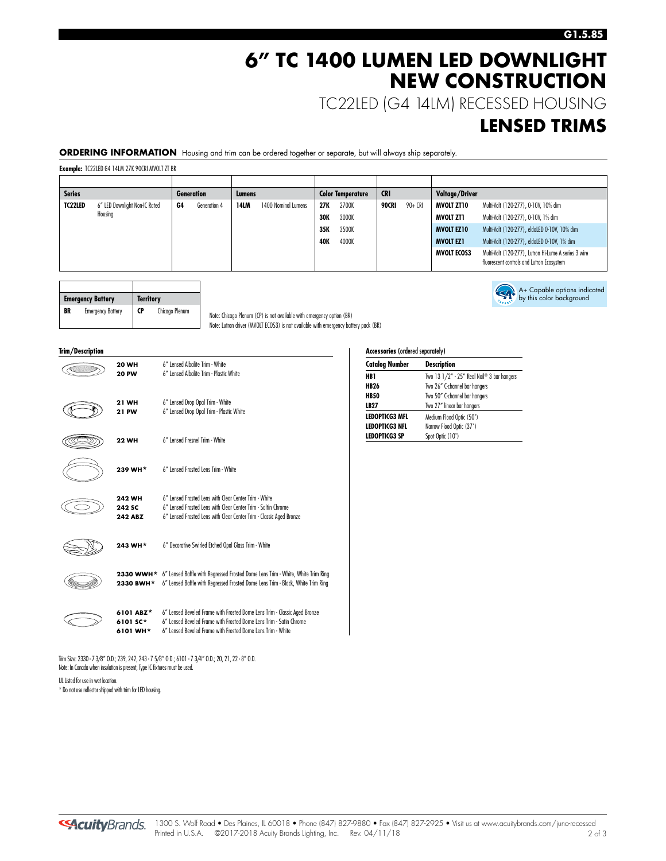### **6" TC 1400 LUMEN LED DOWNLIGHT NEW CONSTRUCTION**

TC22LED (G4 14LM) RECESSED HOUSING

### **LENSED TRIMS**

### **ORDERING INFORMATION** Housing and trim can be ordered together or separate, but will always ship separately.

**Example:** TC22LED G4 14LM 27K 90CRI MVOLT ZT BR

| <b>Series</b> |                               |    | <b>Generation</b> | Lumens      |                     |            | <b>Color Temperature</b> | <b>CRI</b> |         | <b>Voltage/Driver</b> |                                                                                                   |
|---------------|-------------------------------|----|-------------------|-------------|---------------------|------------|--------------------------|------------|---------|-----------------------|---------------------------------------------------------------------------------------------------|
| TC22LED       | 6" LED Downlight Non-IC Rated | G4 | Generation 4      | <b>14LM</b> | 1400 Nominal Lumens | 27K        | 2700K                    | 90CRI      | 90+ CRI | <b>MVOLT ZT10</b>     | Multi-Volt (120-277), 0-10V, 10% dim                                                              |
|               | Housing                       |    |                   |             |                     | <b>30K</b> | 3000K                    |            |         | MVOLT ZT1             | Multi-Volt (120-277), 0-10V, 1% dim                                                               |
|               |                               |    |                   |             |                     | 35K        | 3500K                    |            |         | <b>MVOLT EZ10</b>     | Multi-Volt (120-277), eldoLED 0-10V, 10% dim                                                      |
|               |                               |    |                   |             |                     | 40K        | 4000K                    |            |         | <b>MVOLT EZ1</b>      | Multi-Volt (120-277), eldoLED 0-10V, 1% dim                                                       |
|               |                               |    |                   |             |                     |            |                          |            |         | <b>MVOLT ECOS3</b>    | Multi-Volt (120-277), Lutron Hi-Lume A series 3 wire<br>fluorescent controls and Lutron Ecosystem |

|    | <b>Emergency Battery</b> | <b>Territory</b> |                |
|----|--------------------------|------------------|----------------|
| BR | <b>Emergency Battery</b> | <b>CP</b>        | Chicago Plenum |

Note: Chicago Plenum (CP) is not available with emergency option (BR) Note: Lutron driver (MVOLT ECOS3) is not available with emergency battery pack (BR)

| Trim/Description |                              |                                                                                                                                                                              |
|------------------|------------------------------|------------------------------------------------------------------------------------------------------------------------------------------------------------------------------|
|                  | <b>20 WH</b><br><b>20 PW</b> | 6" Lensed Albalite Trim - White<br>6" Lensed Albalite Trim - Plastic White                                                                                                   |
|                  |                              |                                                                                                                                                                              |
|                  | 21 WH                        | 6" Lensed Drop Opal Trim - White                                                                                                                                             |
|                  | <b>21 PW</b>                 | 6" Lensed Drop Opal Trim - Plastic White                                                                                                                                     |
|                  | <b>22 WH</b>                 | 6" Lensed Fresnel Trim - White                                                                                                                                               |
|                  | 239 WH*                      | 6" Lensed Frosted Lens Trim - White                                                                                                                                          |
|                  | <b>242 WH</b>                | 6" Lensed Frosted Lens with Clear Center Trim - White                                                                                                                        |
|                  | <b>242 SC</b>                | 6" Lensed Frosted Lens with Clear Center Trim - Saltin Chrome                                                                                                                |
|                  | <b>242 ABZ</b>               | 6" Lensed Frosted Lens with Clear Center Trim - Classic Aged Bronze                                                                                                          |
|                  | 243 WH*                      | 6" Decorative Swirled Etched Opal Glass Trim - White                                                                                                                         |
|                  | 2330 BWH*                    | 2330 WWH* 6" Lensed Baffle with Regressed Frosted Dome Lens Trim - White, White Trim Ring<br>6" Lensed Baffle with Regressed Frosted Dome Lens Trim - Black, White Trim Ring |



**6101 ABZ** \* 6" Lensed Beveled Frame with Frosted Dome Lens Trim - Classic Aged Bronze<br>**6101 SC** \* 6" Lensed Beveled Frame with Frosted Dome Lens Trim - Satin Chrome **6101 SC**\* 6" Lensed Beveled Frame with Frosted Dome Lens Trim - Satin Chrome 6101 WH<sup>\*</sup> 6" Lensed Beveled Frame with Frosted Dome Lens Trim - White

Trim Size: 2330 - 73/8" O.D.; 239, 242, 243 - 7 5/8" O.D.; 6101 - 7 3/4" O.D.; 20, 21, 22 - 8" O.D. Note: In Canada when insulation is present, Type IC fixtures must be used.

UL Listed for use in wet location. \* Do not use reflector shipped with trim for LED housing.



| <b>Accessories</b> (ordered separately) |                                            |  |  |  |
|-----------------------------------------|--------------------------------------------|--|--|--|
| <b>Catalog Number</b>                   | Description                                |  |  |  |
| HB1                                     | Two 13 1/2" - 25" Real Nail® 3 bar hangers |  |  |  |
| <b>HB26</b>                             | Two 26" C-channel bar hangers              |  |  |  |
| <b>HB50</b>                             | Two 50" C-channel bar hangers              |  |  |  |
| LB27                                    | Two 27" linear bar hangers                 |  |  |  |
| <b>LEDOPTICG3 MFL</b>                   | Medium Flood Optic (50°)                   |  |  |  |
| <b>LEDOPTICG3 NFL</b>                   | Narrow Flood Optic (37°)                   |  |  |  |
| <b>LEDOPTICG3 SP</b>                    | Spot Optic (10°)                           |  |  |  |